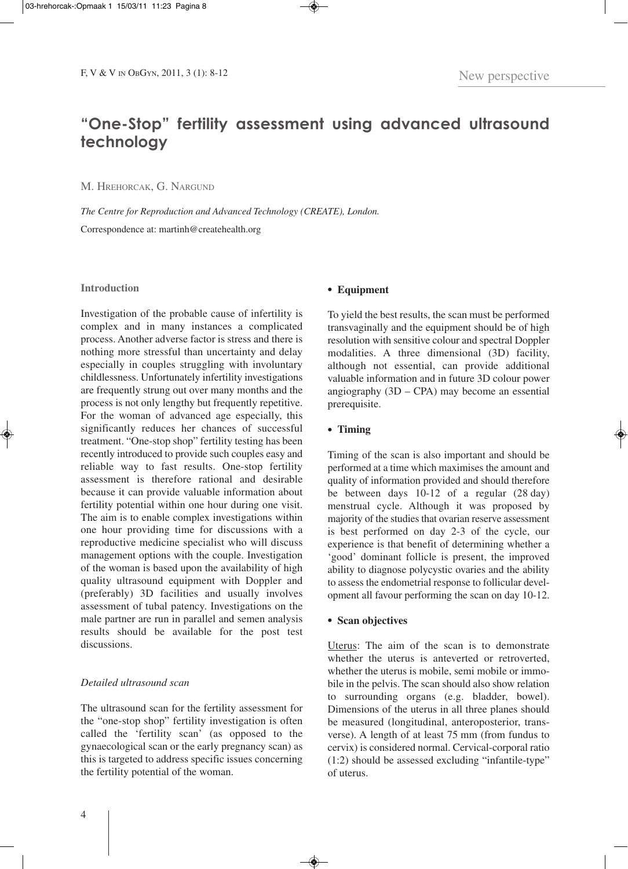# **"One-Stop" fertility assessment using advanced ultrasound technology**

M. HREHORCAK, G. NARGUND

*The Centre for Reproduction and Advanced Technology (CREATE), London.* Correspondence at: martinh@createhealth.org

### **Introduction**

Investigation of the probable cause of infertility is complex and in many instances a complicated process. Another adverse factor is stress and there is nothing more stressful than uncertainty and delay especially in couples struggling with involuntary childlessness. Unfortunately infertility investigations are frequently strung out over many months and the process is not only lengthy but frequently repetitive. For the woman of advanced age especially, this significantly reduces her chances of successful treatment. "One-stop shop" fertility testing has been recently introduced to provide such couples easy and reliable way to fast results. One-stop fertility assessment is therefore rational and desirable because it can provide valuable information about fertility potential within one hour during one visit. The aim is to enable complex investigations within one hour providing time for discussions with a reproductive medicine specialist who will discuss management options with the couple. Investigation of the woman is based upon the availability of high quality ultrasound equipment with Doppler and (preferably) 3D facilities and usually involves assessment of tubal patency. Investigations on the male partner are run in parallel and semen analysis results should be available for the post test discussions.

# *Detailed ultrasound scan*

The ultrasound scan for the fertility assessment for the "one-stop shop" fertility investigation is often called the 'fertility scan' (as opposed to the gynaecological scan or the early pregnancy scan) as this is targeted to address specific issues concerning the fertility potential of the woman.

## **• Equipment**

To yield the best results, the scan must be performed transvaginally and the equipment should be of high resolution with sensitive colour and spectral Doppler modalities. A three dimensional (3D) facility, although not essential, can provide additional valuable information and in future 3D colour power angiography (3D – CPA) may become an essential prerequisite.

# **• Timing**

Timing of the scan is also important and should be performed at a time which maximises the amount and quality of information provided and should therefore be between days 10-12 of a regular (28 day) menstrual cycle. Although it was proposed by majority of the studies that ovarian reserve assessment is best performed on day 2-3 of the cycle, our experience is that benefit of determining whether a 'good' dominant follicle is present, the improved ability to diagnose polycystic ovaries and the ability to assess the endometrial response to follicular development all favour performing the scan on day 10-12.

## **• Scan objectives**

Uterus: The aim of the scan is to demonstrate whether the uterus is anteverted or retroverted, whether the uterus is mobile, semi mobile or immobile in the pelvis. The scan should also show relation to surrounding organs (e.g. bladder, bowel). Dimensions of the uterus in all three planes should be measured (longitudinal, anteroposterior, transverse). A length of at least 75 mm (from fundus to cervix) is considered normal. Cervical-corporal ratio (1:2) should be assessed excluding "infantile-type" of uterus.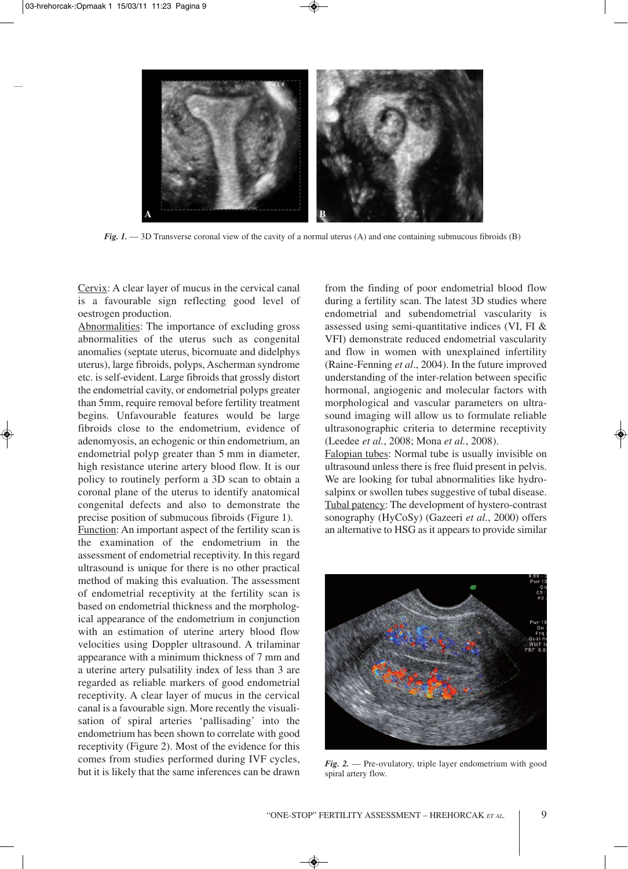

*Fig. 1.* — 3D Transverse coronal view of the cavity of a normal uterus (A) and one containing submucous fibroids (B)

Cervix: A clear layer of mucus in the cervical canal is a favourable sign reflecting good level of oestrogen production.

Abnormalities: The importance of excluding gross abnormalities of the uterus such as congenital anomalies (septate uterus, bicornuate and didelphys uterus), large fibroids, polyps, Ascherman syndrome etc. is self-evident. Large fibroids that grossly distort the endometrial cavity, or endometrial polyps greater than 5mm, require removal before fertility treatment begins. Unfavourable features would be large fibroids close to the endometrium, evidence of adenomyosis, an echogenic or thin endometrium, an endometrial polyp greater than 5 mm in diameter, high resistance uterine artery blood flow. It is our policy to routinely perform a 3D scan to obtain a coronal plane of the uterus to identify anatomical congenital defects and also to demonstrate the precise position of submucous fibroids (Figure 1).

Function: An important aspect of the fertility scan is the examination of the endometrium in the assessment of endometrial receptivity. In this regard ultrasound is unique for there is no other practical method of making this evaluation. The assessment of endometrial receptivity at the fertility scan is based on endometrial thickness and the morphological appearance of the endometrium in conjunction with an estimation of uterine artery blood flow velocities using Doppler ultrasound. A trilaminar appearance with a minimum thickness of 7 mm and a uterine artery pulsatility index of less than 3 are regarded as reliable markers of good endometrial receptivity. A clear layer of mucus in the cervical canal is a favourable sign. More recently the visualisation of spiral arteries 'pallisading' into the endometrium has been shown to correlate with good receptivity (Figure 2). Most of the evidence for this comes from studies performed during IVF cycles, but it is likely that the same inferences can be drawn

from the finding of poor endometrial blood flow during a fertility scan. The latest 3D studies where endometrial and subendometrial vascularity is assessed using semi-quantitative indices (VI, FI & VFI) demonstrate reduced endometrial vascularity and flow in women with unexplained infertility (Raine-Fenning *et al*., 2004). In the future improved understanding of the inter-relation between specific hormonal, angiogenic and molecular factors with morphological and vascular parameters on ultrasound imaging will allow us to formulate reliable ultrasonographic criteria to determine receptivity (Leedee *et al.*, 2008; Mona *et al.*, 2008).

Falopian tubes: Normal tube is usually invisible on ultrasound unless there is free fluid present in pelvis. We are looking for tubal abnormalities like hydrosalpinx or swollen tubes suggestive of tubal disease. Tubal patency: The development of hystero-contrast sonography (HyCoSy) (Gazeeri *et al.*, 2000) offers an alternative to HSG as it appears to provide similar



*Fig. 2.* — Pre-ovulatory, triple layer endometrium with good spiral artery flow.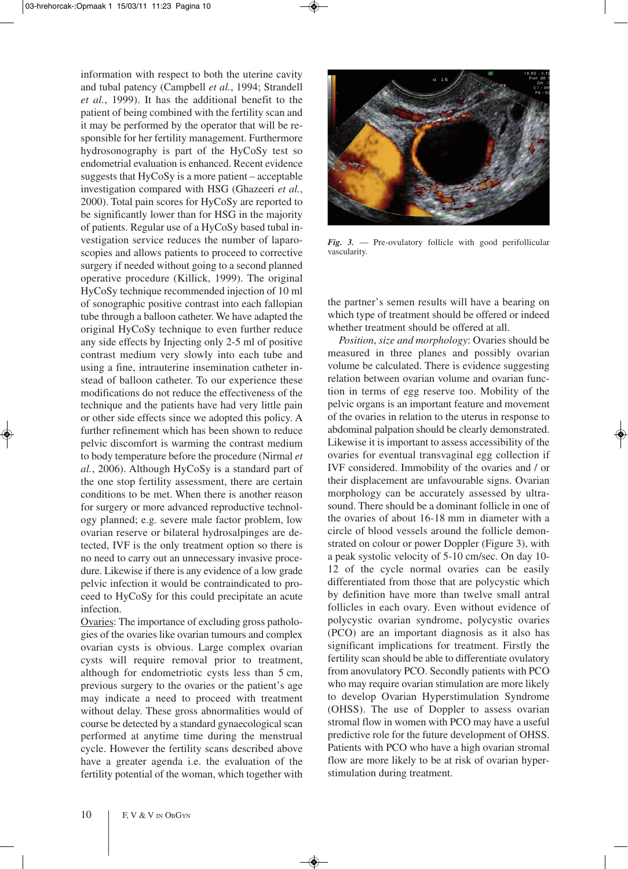information with respect to both the uterine cavity and tubal patency (Campbell *et al.*, 1994; Strandell *et al.*, 1999). It has the additional benefit to the patient of being combined with the fertility scan and it may be performed by the operator that will be responsible for her fertility management. Furthermore hydrosonography is part of the HyCoSy test so endometrial evaluation is enhanced. Recent evidence suggests that HyCoSy is a more patient – acceptable investigation compared with HSG (Ghazeeri *et al.*, 2000). Total pain scores for HyCoSy are reported to be significantly lower than for HSG in the majority of patients. Regular use of a HyCoSy based tubal investigation service reduces the number of laparoscopies and allows patients to proceed to corrective surgery if needed without going to a second planned operative procedure (Killick, 1999). The original HyCoSy technique recommended injection of 10 ml of sonographic positive contrast into each fallopian tube through a balloon catheter. We have adapted the original HyCoSy technique to even further reduce any side effects by Injecting only 2-5 ml of positive contrast medium very slowly into each tube and using a fine, intrauterine insemination catheter instead of balloon catheter. To our experience these modifications do not reduce the effectiveness of the technique and the patients have had very little pain or other side effects since we adopted this policy. A further refinement which has been shown to reduce pelvic discomfort is warming the contrast medium to body temperature before the procedure (Nirmal *et al.*, 2006). Although HyCoSy is a standard part of the one stop fertility assessment, there are certain conditions to be met. When there is another reason for surgery or more advanced reproductive technology planned; e.g. severe male factor problem, low ovarian reserve or bilateral hydrosalpinges are detected, IVF is the only treatment option so there is no need to carry out an unnecessary invasive procedure. Likewise if there is any evidence of a low grade pelvic infection it would be contraindicated to proceed to HyCoSy for this could precipitate an acute infection.

Ovaries: The importance of excluding gross pathologies of the ovaries like ovarian tumours and complex ovarian cysts is obvious. Large complex ovarian cysts will require removal prior to treatment, although for endometriotic cysts less than 5 cm, previous surgery to the ovaries or the patient's age may indicate a need to proceed with treatment without delay. These gross abnormalities would of course be detected by a standard gynaecological scan performed at anytime time during the menstrual cycle. However the fertility scans described above have a greater agenda i.e. the evaluation of the fertility potential of the woman, which together with



*Fig. 3.* — Pre-ovulatory follicle with good perifollicular vascularity.

the partner's semen results will have a bearing on which type of treatment should be offered or indeed whether treatment should be offered at all.

*Position*, *size and morphology*: Ovaries should be measured in three planes and possibly ovarian volume be calculated. There is evidence suggesting relation between ovarian volume and ovarian function in terms of egg reserve too. Mobility of the pelvic organs is an important feature and movement of the ovaries in relation to the uterus in response to abdominal palpation should be clearly demonstrated. Likewise it is important to assess accessibility of the ovaries for eventual transvaginal egg collection if IVF considered. Immobility of the ovaries and / or their displacement are unfavourable signs. Ovarian morphology can be accurately assessed by ultrasound. There should be a dominant follicle in one of the ovaries of about 16-18 mm in diameter with a circle of blood vessels around the follicle demonstrated on colour or power Doppler (Figure 3), with a peak systolic velocity of 5-10 cm/sec. On day 10- 12 of the cycle normal ovaries can be easily differentiated from those that are polycystic which by definition have more than twelve small antral follicles in each ovary. Even without evidence of polycystic ovarian syndrome, polycystic ovaries (PCO) are an important diagnosis as it also has significant implications for treatment. Firstly the fertility scan should be able to differentiate ovulatory from anovulatory PCO. Secondly patients with PCO who may require ovarian stimulation are more likely to develop Ovarian Hyperstimulation Syndrome (OHSS). The use of Doppler to assess ovarian stromal flow in women with PCO may have a useful predictive role for the future development of OHSS. Patients with PCO who have a high ovarian stromal flow are more likely to be at risk of ovarian hyperstimulation during treatment.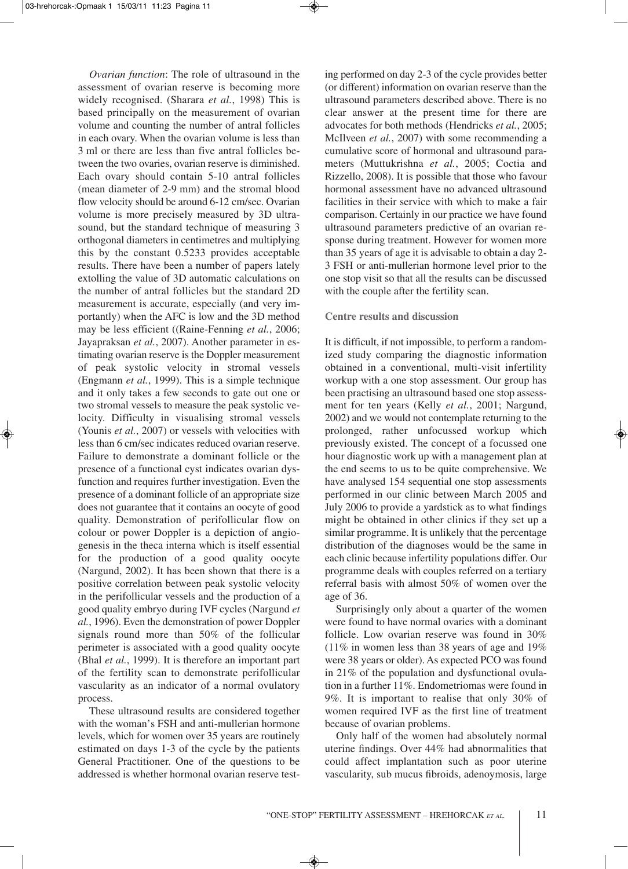*Ovarian function*: The role of ultrasound in the assessment of ovarian reserve is becoming more widely recognised. (Sharara *et al.*, 1998) This is based principally on the measurement of ovarian volume and counting the number of antral follicles in each ovary. When the ovarian volume is less than 3 ml or there are less than five antral follicles between the two ovaries, ovarian reserve is diminished. Each ovary should contain 5-10 antral follicles (mean diameter of 2-9 mm) and the stromal blood flow velocity should be around 6-12 cm/sec. Ovarian volume is more precisely measured by 3D ultrasound, but the standard technique of measuring 3 orthogonal diameters in centimetres and multiplying this by the constant 0.5233 provides acceptable results. There have been a number of papers lately extolling the value of 3D automatic calculations on the number of antral follicles but the standard 2D measurement is accurate, especially (and very importantly) when the AFC is low and the 3D method may be less efficient ((Raine-Fenning *et al.*, 2006; Jayapraksan *et al.*, 2007). Another parameter in estimating ovarian reserve is the Doppler measurement of peak systolic velocity in stromal vessels (Engmann *et al.*, 1999). This is a simple technique and it only takes a few seconds to gate out one or two stromal vessels to measure the peak systolic velocity. Difficulty in visualising stromal vessels (Younis *et al.*, 2007) or vessels with velocities with less than 6 cm/sec indicates reduced ovarian reserve. Failure to demonstrate a dominant follicle or the presence of a functional cyst indicates ovarian dysfunction and requires further investigation. Even the presence of a dominant follicle of an appropriate size does not guarantee that it contains an oocyte of good quality. Demonstration of perifollicular flow on colour or power Doppler is a depiction of angiogenesis in the theca interna which is itself essential for the production of a good quality oocyte (Nargund, 2002). It has been shown that there is a positive correlation between peak systolic velocity in the perifollicular vessels and the production of a good quality embryo during IVF cycles (Nargund *et al.*, 1996). Even the demonstration of power Doppler signals round more than 50% of the follicular perimeter is associated with a good quality oocyte (Bhal *et al.*, 1999). It is therefore an important part of the fertility scan to demonstrate perifollicular vascularity as an indicator of a normal ovulatory process.

These ultrasound results are considered together with the woman's FSH and anti-mullerian hormone levels, which for women over 35 years are routinely estimated on days 1-3 of the cycle by the patients General Practitioner. One of the questions to be addressed is whether hormonal ovarian reserve test-

ing performed on day 2-3 of the cycle provides better (or different) information on ovarian reserve than the ultrasound parameters described above. There is no clear answer at the present time for there are advocates for both methods (Hendricks *et al.*, 2005; McIlveen *et al.*, 2007) with some recommending a cumulative score of hormonal and ultrasound parameters (Muttukrishna *et al.*, 2005; Coctia and Rizzello, 2008). It is possible that those who favour hormonal assessment have no advanced ultrasound facilities in their service with which to make a fair comparison. Certainly in our practice we have found ultrasound parameters predictive of an ovarian response during treatment. However for women more than 35 years of age it is advisable to obtain a day 2- 3 FSH or anti-mullerian hormone level prior to the one stop visit so that all the results can be discussed with the couple after the fertility scan.

### **Centre results and discussion**

It is difficult, if not impossible, to perform a randomized study comparing the diagnostic information obtained in a conventional, multi-visit infertility workup with a one stop assessment. Our group has been practising an ultrasound based one stop assessment for ten years (Kelly *et al.*, 2001; Nargund, 2002) and we would not contemplate returning to the prolonged, rather unfocussed workup which previously existed. The concept of a focussed one hour diagnostic work up with a management plan at the end seems to us to be quite comprehensive. We have analysed 154 sequential one stop assessments performed in our clinic between March 2005 and July 2006 to provide a yardstick as to what findings might be obtained in other clinics if they set up a similar programme. It is unlikely that the percentage distribution of the diagnoses would be the same in each clinic because infertility populations differ. Our programme deals with couples referred on a tertiary referral basis with almost 50% of women over the age of 36.

Surprisingly only about a quarter of the women were found to have normal ovaries with a dominant follicle. Low ovarian reserve was found in 30%  $(11\%$  in women less than 38 years of age and 19% were 38 years or older). As expected PCO was found in 21% of the population and dysfunctional ovulation in a further 11%. Endometriomas were found in 9%. It is important to realise that only 30% of women required IVF as the first line of treatment because of ovarian problems.

Only half of the women had absolutely normal uterine findings. Over 44% had abnormalities that could affect implantation such as poor uterine vascularity, sub mucus fibroids, adenoymosis, large